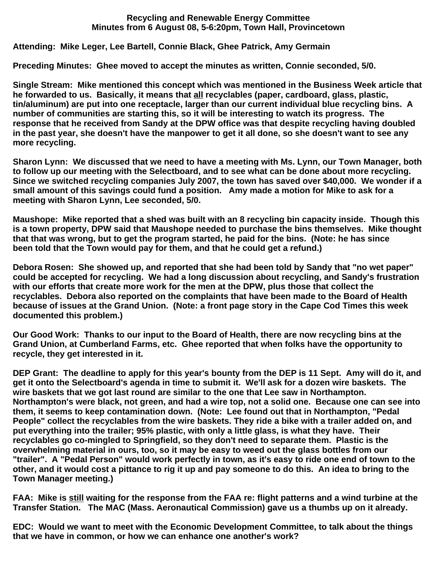## **Recycling and Renewable Energy Committee Minutes from 6 August 08, 5-6:20pm, Town Hall, Provincetown**

## **Attending: Mike Leger, Lee Bartell, Connie Black, Ghee Patrick, Amy Germain**

**Preceding Minutes: Ghee moved to accept the minutes as written, Connie seconded, 5/0.**

**Single Stream: Mike mentioned this concept which was mentioned in the Business Week article that he forwarded to us. Basically, it means that all recyclables (paper, cardboard, glass, plastic, tin/aluminum) are put into one receptacle, larger than our current individual blue recycling bins. A number of communities are starting this, so it will be interesting to watch its progress. The response that he received from Sandy at the DPW office was that despite recycling having doubled in the past year, she doesn't have the manpower to get it all done, so she doesn't want to see any more recycling.**

**Sharon Lynn: We discussed that we need to have a meeting with Ms. Lynn, our Town Manager, both to follow up our meeting with the Selectboard, and to see what can be done about more recycling. Since we switched recycling companies July 2007, the town has saved over \$40,000. We wonder if a small amount of this savings could fund a position. Amy made a motion for Mike to ask for a meeting with Sharon Lynn, Lee seconded, 5/0.**

**Maushope: Mike reported that a shed was built with an 8 recycling bin capacity inside. Though this is a town property, DPW said that Maushope needed to purchase the bins themselves. Mike thought that that was wrong, but to get the program started, he paid for the bins. (Note: he has since been told that the Town would pay for them, and that he could get a refund.)**

**Debora Rosen: She showed up, and reported that she had been told by Sandy that "no wet paper" could be accepted for recycling. We had a long discussion about recycling, and Sandy's frustration with our efforts that create more work for the men at the DPW, plus those that collect the recyclables. Debora also reported on the complaints that have been made to the Board of Health because of issues at the Grand Union. (Note: a front page story in the Cape Cod Times this week documented this problem.)**

**Our Good Work: Thanks to our input to the Board of Health, there are now recycling bins at the Grand Union, at Cumberland Farms, etc. Ghee reported that when folks have the opportunity to recycle, they get interested in it.** 

**DEP Grant: The deadline to apply for this year's bounty from the DEP is 11 Sept. Amy will do it, and get it onto the Selectboard's agenda in time to submit it. We'll ask for a dozen wire baskets. The wire baskets that we got last round are similar to the one that Lee saw in Northampton. Northampton's were black, not green, and had a wire top, not a solid one. Because one can see into them, it seems to keep contamination down. (Note: Lee found out that in Northampton, "Pedal People" collect the recyclables from the wire baskets. They ride a bike with a trailer added on, and put everything into the trailer; 95% plastic, with only a little glass, is what they have. Their recyclables go co-mingled to Springfield, so they don't need to separate them. Plastic is the overwhelming material in ours, too, so it may be easy to weed out the glass bottles from our "trailer". A "Pedal Person" would work perfectly in town, as it's easy to ride one end of town to the other, and it would cost a pittance to rig it up and pay someone to do this. An idea to bring to the Town Manager meeting.)**

**FAA: Mike is still waiting for the response from the FAA re: flight patterns and a wind turbine at the Transfer Station. The MAC (Mass. Aeronautical Commission) gave us a thumbs up on it already.**

**EDC: Would we want to meet with the Economic Development Committee, to talk about the things that we have in common, or how we can enhance one another's work?**